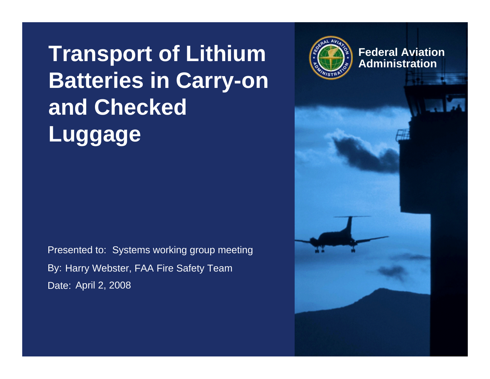#### **Transport of Lithium Batteries in Carry-on and Checked Luggage**

Presented to: Systems working group meeting By: Harry Webster, FAA Fire Safety Team Date: April 2, 2008



**Federal AviationAdministration**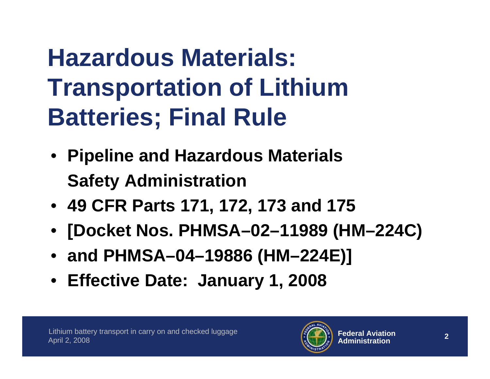# **Hazardous Materials: Transportation of Lithium Batteries; Final Rule**

- **Pipeline and Hazardous Materials Safety Administration**
- **49 CFR Parts 171, 172, 173 and 175**
- **[Docket Nos. PHMSA–02–11989 (HM–224C)**
- **and PHMSA–04–19886 (HM–224E)]**
- **Effective Date: January 1, 2008**

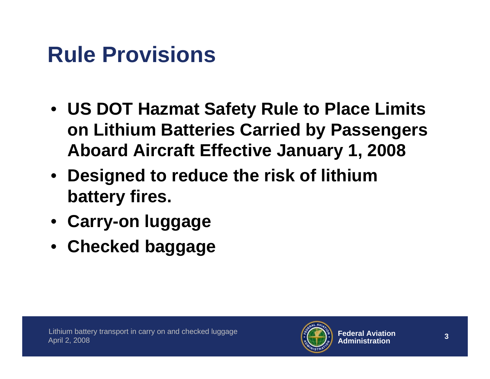#### **Rule Provisions**

- **US DOT Hazmat Safety Rule to Place Limits on Lithium Batteries Carried by Passengers Aboard Aircraft Effective January 1, 2008**
- **Designed to reduce the risk of lithium battery fires.**
- **Carry-on luggage**
- **Checked baggage**

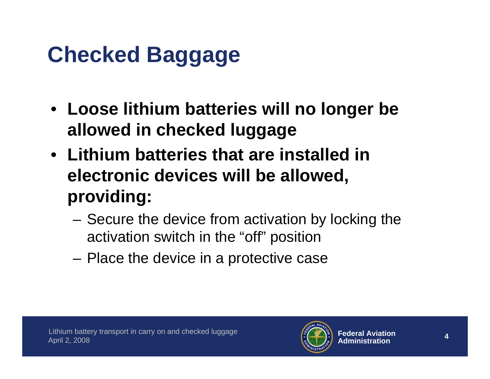### **Checked Baggage**

- **Loose lithium batteries will no longer be allowed in checked luggage**
- **Lithium batteries that are installed in electronic devices will be allowed, providing:**
	- and the state of the Secure the device from activation by locking the activation switch in the "off" position
	- **Links of the Common** Place the device in a protective case

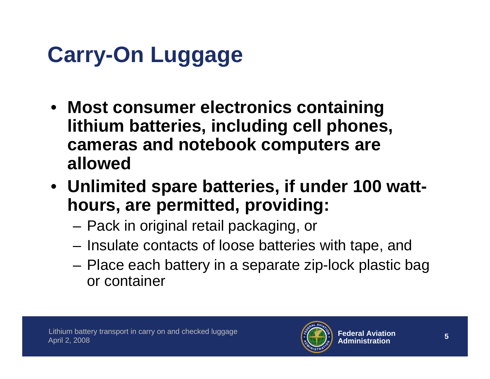## **Carry-On Luggage**

- **Most consumer electronics containing lithium batteries, including cell phones, cameras and notebook computers are allowed**
- **Unlimited spare batteries, if under 100 watthours, are permitted, providing:**
	- –Pack in original retail packaging, or
	- **Links of the Common** Insulate contacts of loose batteries with tape, and
	- and the state of the Place each battery in a separate zip-lock plastic bag or container

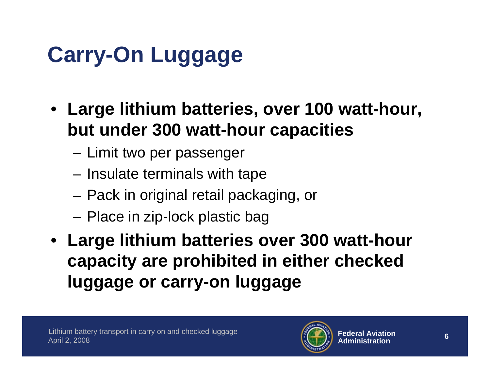## **Carry-On Luggage**

- **Large lithium batteries, over 100 watt-hour, but under 300 watt-hour capacities**
	- **Links of the Common** Limit two per passenger
	- and the state of the Insulate terminals with tape
	- and the state of the Pack in original retail packaging, or
	- and the state of the Place in zip-lock plastic bag
- **Large lithium batteries over 300 watt-hour capacity are prohibited in either checked luggage or carry-on luggage**